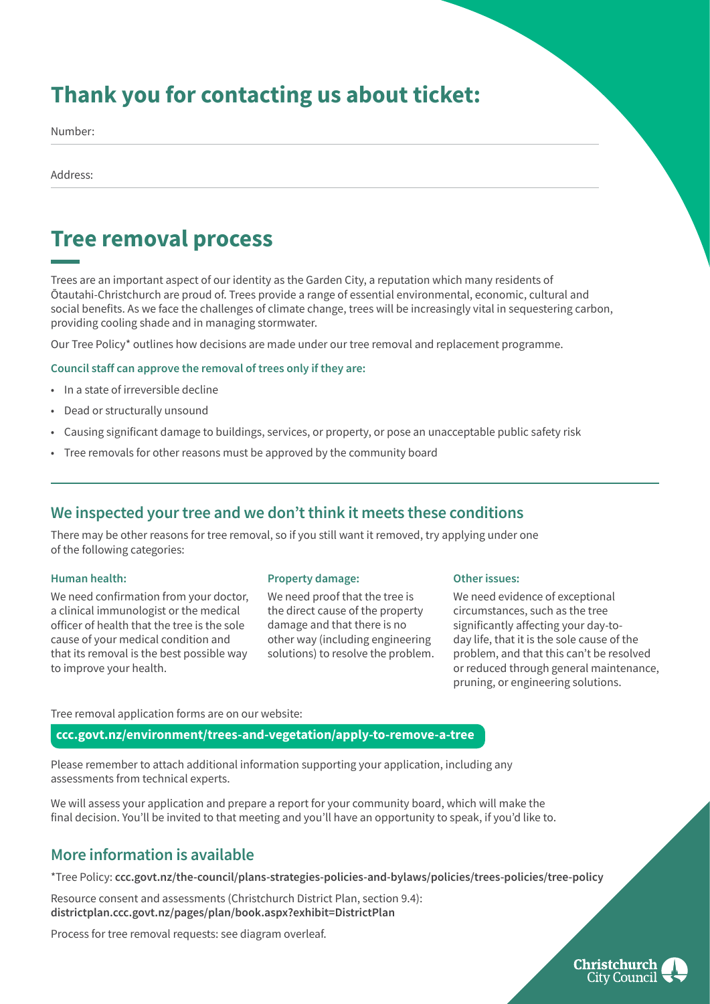# **Thank you for contacting us about ticket:**

Number:

Address:

## **Tree removal process**

Trees are an important aspect of our identity as the Garden City, a reputation which many residents of Ōtautahi-Christchurch are proud of. Trees provide a range of essential environmental, economic, cultural and social benefits. As we face the challenges of climate change, trees will be increasingly vital in sequestering carbon, providing cooling shade and in managing stormwater.

Our Tree Policy\* outlines how decisions are made under our tree removal and replacement programme.

#### **Council staff can approve the removal of trees only if they are:**

- In a state of irreversible decline
- Dead or structurally unsound
- Causing significant damage to buildings, services, or property, or pose an unacceptable public safety risk
- Tree removals for other reasons must be approved by the community board

### **We inspected your tree and we don't think it meets these conditions**

There may be other reasons for tree removal, so if you still want it removed, try applying under one of the following categories:

#### **Human health:**

We need confirmation from your doctor, a clinical immunologist or the medical officer of health that the tree is the sole cause of your medical condition and that its removal is the best possible way to improve your health.

#### **Property damage:**

We need proof that the tree is the direct cause of the property damage and that there is no other way (including engineering solutions) to resolve the problem.

#### **Other issues:**

We need evidence of exceptional circumstances, such as the tree significantly affecting your day-today life, that it is the sole cause of the problem, and that this can't be resolved or reduced through general maintenance, pruning, or engineering solutions.

#### Tree removal application forms are on our website:

**ccc.govt.nz/environment/trees-and-vegetation/apply-to-remove-a-tree**

Please remember to attach additional information supporting your application, including any assessments from technical experts.

We will assess your application and prepare a report for your community board, which will make the final decision. You'll be invited to that meeting and you'll have an opportunity to speak, if you'd like to.

### **More information is available**

\*Tree Policy: **ccc.govt.nz/the-council/plans-strategies-policies-and-bylaws/policies/trees-policies/tree-policy**

Resource consent and assessments (Christchurch District Plan, section 9.4): **districtplan.ccc.govt.nz/pages/plan/book.aspx?exhibit=DistrictPlan**

Process for tree removal requests: see diagram overleaf.